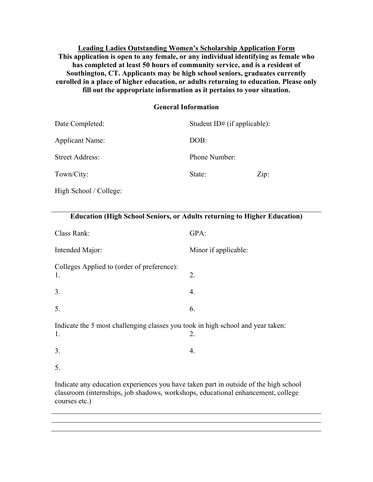**Leading Ladies Outstanding Women's Scholarship Application Form This application is open to any female, or any individual identifying as female who has completed at least 50 hours of community service, and is a resident of Southington, CT. Applicants may be high school seniors, graduates currently enrolled in a place of higher education, or adults returning to education. Please only fill out the appropriate information as it pertains to your situation.** 

#### **General Information**

| Date Completed:        | Student ID# (if applicable): |      |
|------------------------|------------------------------|------|
| Applicant Name:        | DOB:                         |      |
| <b>Street Address:</b> | Phone Number:                |      |
| Town/City:             | State:                       | Zip: |
|                        |                              |      |

High School / College:

| <b>Education (High School Seniors, or Adults returning to Higher Education)</b>                                                                                                                                                                                                                                                                                                 |                      |  |
|---------------------------------------------------------------------------------------------------------------------------------------------------------------------------------------------------------------------------------------------------------------------------------------------------------------------------------------------------------------------------------|----------------------|--|
| Class Rank:                                                                                                                                                                                                                                                                                                                                                                     | GPA:                 |  |
| Intended Major:                                                                                                                                                                                                                                                                                                                                                                 | Minor if applicable: |  |
| Colleges Applied to (order of preference):<br>1.                                                                                                                                                                                                                                                                                                                                | 2.                   |  |
| 3.                                                                                                                                                                                                                                                                                                                                                                              | 4.                   |  |
| 5.                                                                                                                                                                                                                                                                                                                                                                              | 6.                   |  |
| Indicate the 5 most challenging classes you took in high school and year taken:<br>2.<br>1.                                                                                                                                                                                                                                                                                     |                      |  |
| 3.                                                                                                                                                                                                                                                                                                                                                                              | 4.                   |  |
| 5.                                                                                                                                                                                                                                                                                                                                                                              |                      |  |
| Indicate any education experiences you have taken part in outside of the high school<br>$\sqrt{2}$ and $\sqrt{2}$ and $\sqrt{2}$ and $\sqrt{2}$ and $\sqrt{2}$ and $\sqrt{2}$ and $\sqrt{2}$ and $\sqrt{2}$ and $\sqrt{2}$ and $\sqrt{2}$ and $\sqrt{2}$ and $\sqrt{2}$ and $\sqrt{2}$ and $\sqrt{2}$ and $\sqrt{2}$ and $\sqrt{2}$ and $\sqrt{2}$ and $\sqrt{2}$ and $\sqrt{2$ |                      |  |

classroom (internships, job shadows, workshops, educational enhancement, college courses etc.)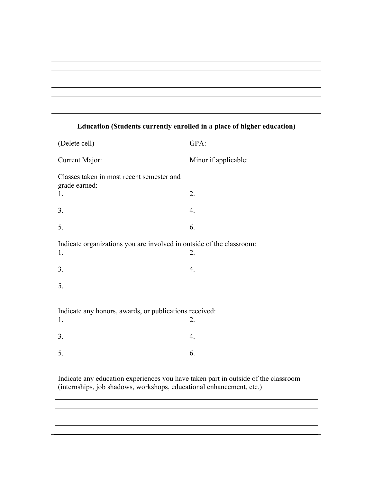

# (Delete cell) GPA: Current Major: Minor if applicable: Classes taken in most recent semester and grade earned: 1. 2.  $3. \t\t 4.$  $5.$  6. Indicate organizations you are involved in outside of the classroom: 1. 2.  $3. \t\t 4.$ 5. Indicate any honors, awards, or publications received: 1. 2.  $3. \t\t 4.$  $5.$  6.

## **Education (Students currently enrolled in a place of higher education)**

Indicate any education experiences you have taken part in outside of the classroom (internships, job shadows, workshops, educational enhancement, etc.)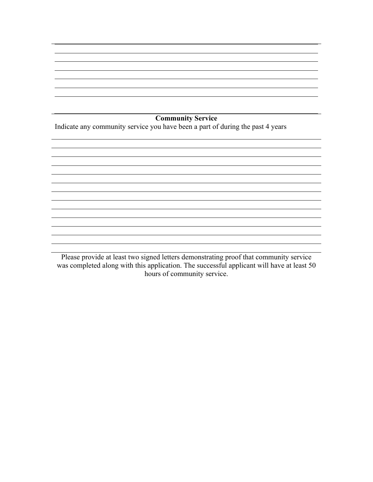**Community Service**

Indicate any community service you have been a part of during the past 4 years

Please provide at least two signed letters demonstrating proof that community service was completed along with this application. The successful applicant will have at least 50 hours of community service.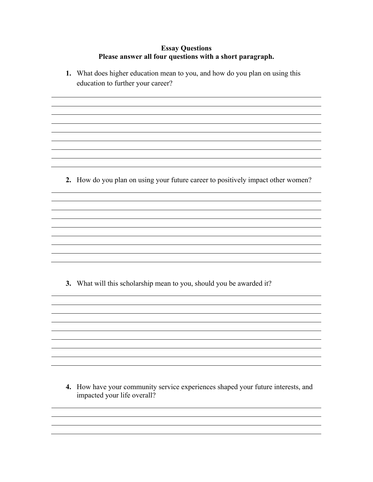## **Essay Questions Please answer all four questions with a short paragraph.**

**1.** What does higher education mean to you, and how do you plan on using this education to further your career?

**2.** How do you plan on using your future career to positively impact other women?

**3.** What will this scholarship mean to you, should you be awarded it?

**4.** How have your community service experiences shaped your future interests, and impacted your life overall?